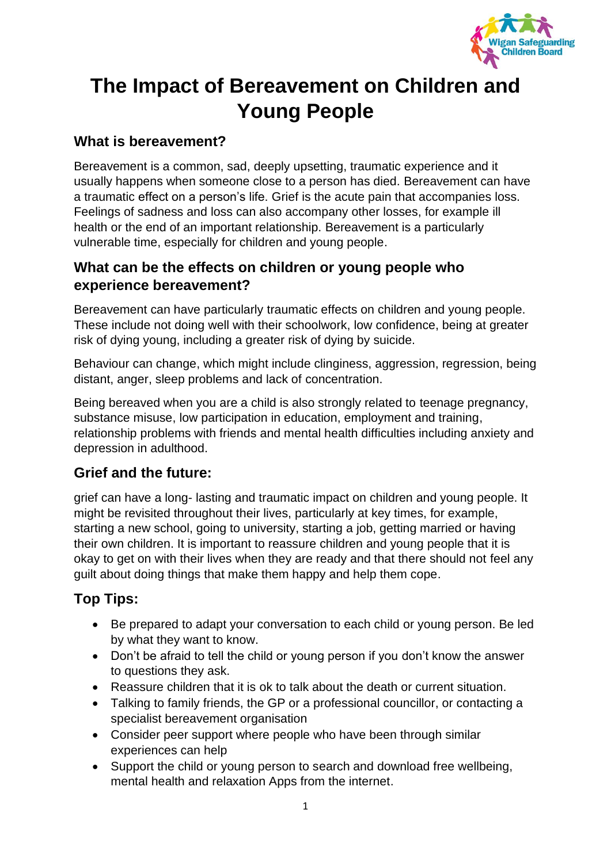

# **The Impact of Bereavement on Children and Young People**

## **What is bereavement?**

Bereavement is a common, sad, deeply upsetting, traumatic experience and it usually happens when someone close to a person has died. Bereavement can have a traumatic effect on a person's life. Grief is the acute pain that accompanies loss. Feelings of sadness and loss can also accompany other losses, for example ill health or the end of an important relationship. Bereavement is a particularly vulnerable time, especially for children and young people.

#### **What can be the effects on children or young people who experience bereavement?**

Bereavement can have particularly traumatic effects on children and young people. These include not doing well with their schoolwork, low confidence, being at greater risk of dying young, including a greater risk of dying by suicide.

Behaviour can change, which might include clinginess, aggression, regression, being distant, anger, sleep problems and lack of concentration.

Being bereaved when you are a child is also strongly related to teenage pregnancy, substance misuse, low participation in education, employment and training, relationship problems with friends and mental health difficulties including anxiety and depression in adulthood.

# **Grief and the future:**

grief can have a long- lasting and traumatic impact on children and young people. It might be revisited throughout their lives, particularly at key times, for example, starting a new school, going to university, starting a job, getting married or having their own children. It is important to reassure children and young people that it is okay to get on with their lives when they are ready and that there should not feel any guilt about doing things that make them happy and help them cope.

# **Top Tips:**

- Be prepared to adapt your conversation to each child or young person. Be led by what they want to know.
- Don't be afraid to tell the child or young person if you don't know the answer to questions they ask.
- Reassure children that it is ok to talk about the death or current situation.
- Talking to family friends, the GP or a professional councillor, or contacting a specialist bereavement organisation
- Consider peer support where people who have been through similar experiences can help
- Support the child or young person to search and download free wellbeing, mental health and relaxation Apps from the internet.